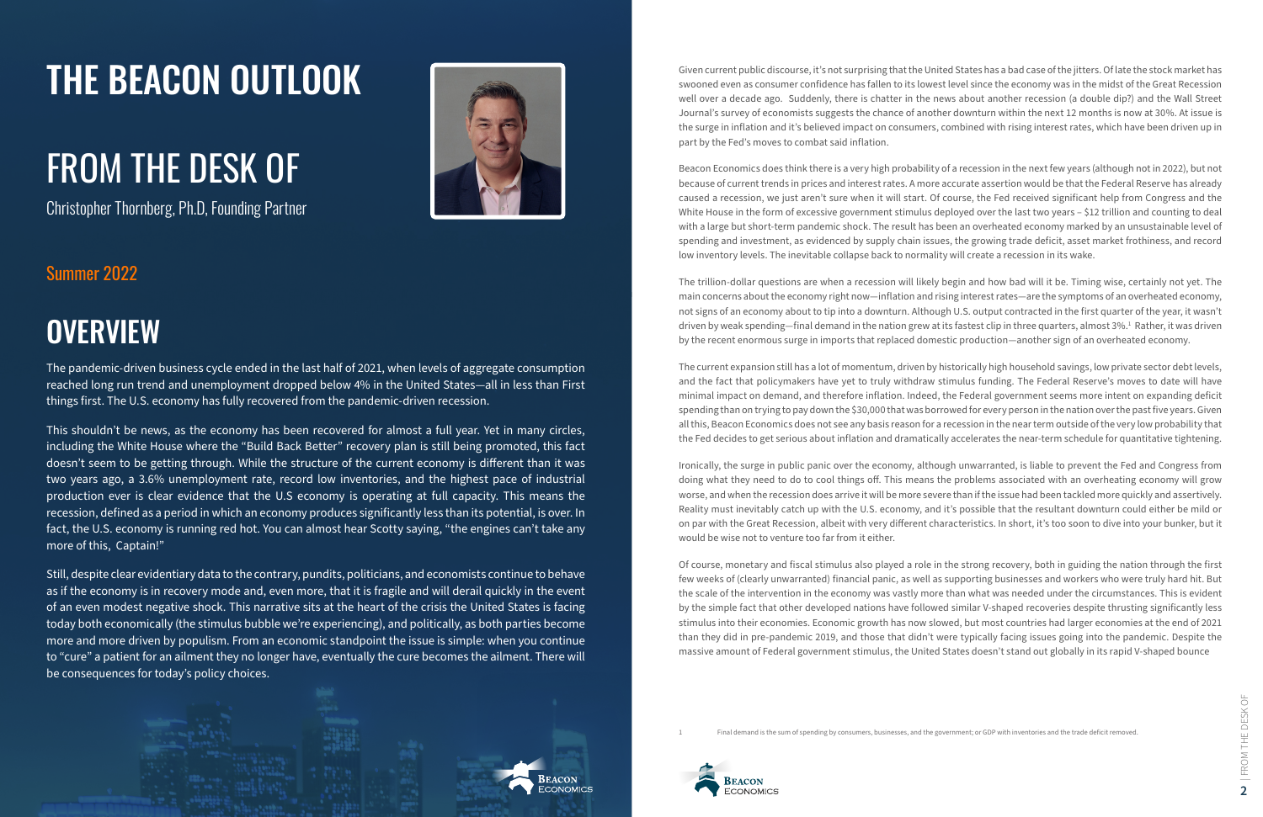

Given current public discourse, it's not surprising that the United States has a bad case of the jitters. Of late the stock market has swooned even as consumer confidence has fallen to its lowest level since the economy was in the midst of the Great Recession well over a decade ago. Suddenly, there is chatter in the news about another recession (a double dip?) and the Wall Street Journal's survey of economists suggests the chance of another downturn within the next 12 months is now at 30%. At issue is the surge in inflation and it's believed impact on consumers, combined with rising interest rates, which have been driven up in part by the Fed's moves to combat said inflation.

Beacon Economics does think there is a very high probability of a recession in the next few years (although not in 2022), but not because of current trends in prices and interest rates. A more accurate assertion would be that the Federal Reserve has already caused a recession, we just aren't sure when it will start. Of course, the Fed received significant help from Congress and the White House in the form of excessive government stimulus deployed over the last two years - \$12 trillion and counting to deal with a large but short-term pandemic shock. The result has been an overheated economy marked by an unsustainable level of spending and investment, as evidenced by supply chain issues, the growing trade deficit, asset market frothiness, and record low inventory levels. The inevitable collapse back to normality will create a recession in its wake.

The trillion-dollar questions are when a recession will likely begin and how bad will it be. Timing wise, certainly not yet. The main concerns about the economy right now—inflation and rising interest rates—are the symptoms of an overheated economy, not signs of an economy about to tip into a downturn. Although U.S. output contracted in the first quarter of the year, it wasn't driven by weak spending—final demand in the nation grew at its fastest clip in three quarters, almost 3%.<sup>1</sup> Rather, it was driven by the recent enormous surge in imports that replaced domestic production—another sign of an overheated economy.

The current expansion still has a lot of momentum, driven by historically high household savings, low private sector debt levels, and the fact that policymakers have yet to truly withdraw stimulus funding. The Federal Reserve's moves to date will have minimal impact on demand, and therefore inflation. Indeed, the Federal government seems more intent on expanding deficit spending than on trying to pay down the \$30,000 that was borrowed for every person in the nation over the past five years. Given all this, Beacon Economics does not see any basis reason for a recession in the near term outside of the very low probability that the Fed decides to get serious about inflation and dramatically accelerates the near-term schedule for quantitative tightening.

Ironically, the surge in public panic over the economy, although unwarranted, is liable to prevent the Fed and Congress from doing what they need to do to cool things off. This means the problems associated with an overheating economy will grow worse, and when the recession does arrive it will be more severe than if the issue had been tackled more quickly and assertively. Reality must inevitably catch up with the U.S. economy, and it's possible that the resultant downturn could either be mild or on par with the Great Recession, albeit with very different characteristics. In short, it's too soon to dive into your bunker, but it would be wise not to venture too far from it either.

Of course, monetary and fiscal stimulus also played a role in the strong recovery, both in guiding the nation through the first few weeks of (clearly unwarranted) financial panic, as well as supporting businesses and workers who were truly hard hit. But the scale of the intervention in the economy was vastly more than what was needed under the circumstances. This is evident by the simple fact that other developed nations have followed similar V-shaped recoveries despite thrusting significantly less stimulus into their economies. Economic growth has now slowed, but most countries had larger economies at the end of 2021 than they did in pre-pandemic 2019, and those that didn't were typically facing issues going into the pandemic. Despite the massive amount of Federal government stimulus, the United States doesn't stand out globally in its rapid V-shaped bounce

Final demand is the sum of spending by consumers, businesses, and the government; or GDP with inventories and the trade deficit removed.



The pandemic-driven business cycle ended in the last half of 2021, when levels of aggregate consumption reached long run trend and unemployment dropped below 4% in the United States—all in less than First things first. The U.S. economy has fully recovered from the pandemic-driven recession.

This shouldn't be news, as the economy has been recovered for almost a full year. Yet in many circles, including the White House where the "Build Back Better" recovery plan is still being promoted, this fact doesn't seem to be getting through. While the structure of the current economy is different than it was two years ago, a 3.6% unemployment rate, record low inventories, and the highest pace of industrial production ever is clear evidence that the U.S economy is operating at full capacity. This means the recession, defined as a period in which an economy produces significantly less than its potential, is over. In fact, the U.S. economy is running red hot. You can almost hear Scotty saying, "the engines can't take any more of this, Captain!"

Still, despite clear evidentiary data to the contrary, pundits, politicians, and economists continue to behave as if the economy is in recovery mode and, even more, that it is fragile and will derail quickly in the event of an even modest negative shock. This narrative sits at the heart of the crisis the United States is facing today both economically (the stimulus bubble we're experiencing), and politically, as both parties become more and more driven by populism. From an economic standpoint the issue is simple: when you continue to "cure" a patient for an ailment they no longer have, eventually the cure becomes the ailment. There will be consequences for today's policy choices.

#### Summer 2022

## **OVERVIEW**

## THE BEACON OUTLOOK

Christopher Thornberg, Ph.D, Founding Partner



# FROM THE DESK OF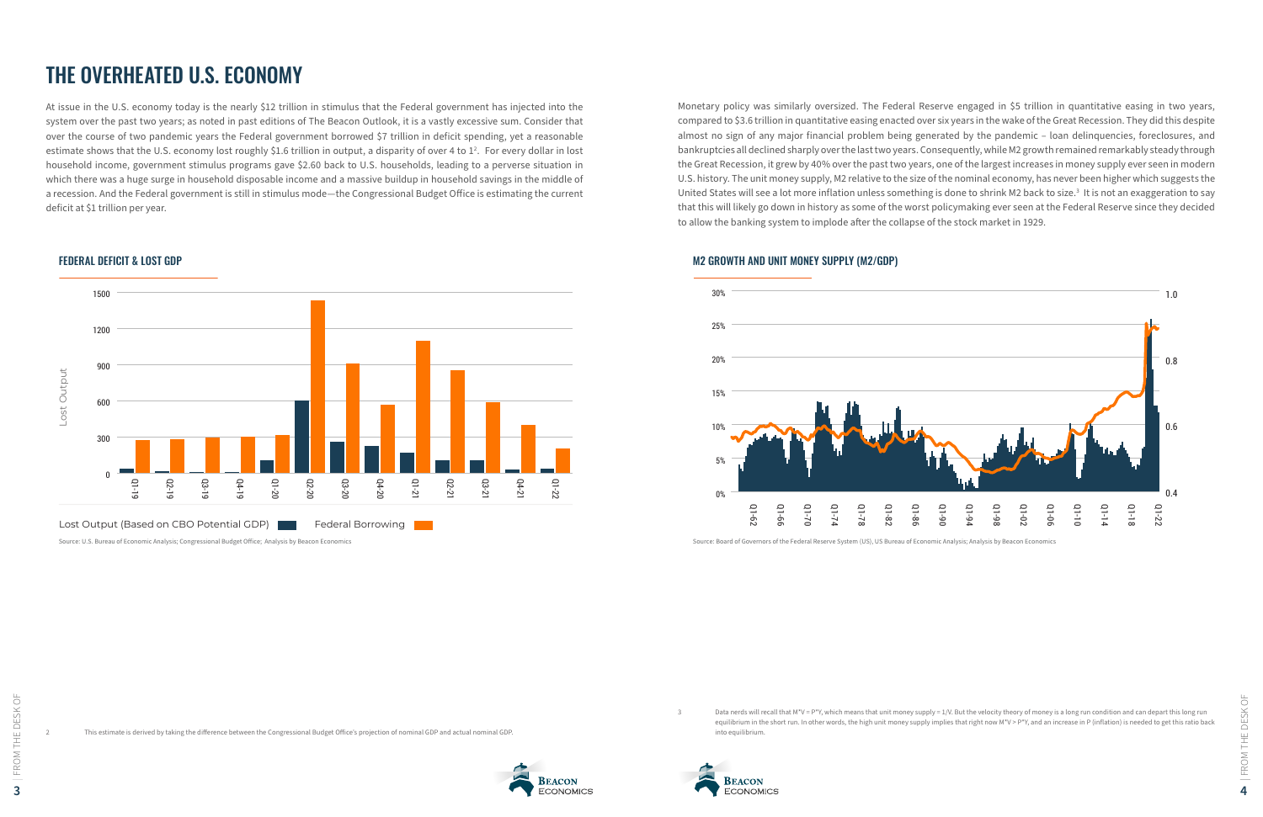

Data nerds will recall that M\*V = P\*Y, which means that unit money supply = 1/V. But the velocity theory of money is a long run condition and can depart this long run equilibrium in the short run. In other words, the high unit money supply implies that right now M\*V > P\*Y, and an increase in P (inflation) is needed to get this ratio back

### THE OVERHEATED U.S. ECONOMY

At issue in the U.S. economy today is the nearly \$12 trillion in stimulus that the Federal government has injected into the system over the past two years; as noted in past editions of The Beacon Outlook, it is a vastly excessive sum. Consider that over the course of two pandemic years the Federal government borrowed \$7 trillion in deficit spending, yet a reasonable estimate shows that the U.S. economy lost roughly \$1.6 trillion in output, a disparity of over 4 to  $1^2$ . For every dollar in lost household income, government stimulus programs gave \$2.60 back to U.S. households, leading to a perverse situation in which there was a huge surge in household disposable income and a massive buildup in household savings in the middle of a recession. And the Federal government is still in stimulus mode—the Congressional Budget Office is estimating the current deficit at \$1 trillion per year.



Monetary policy was similarly oversized. The Federal Reserve engaged in \$5 trillion in quantitative easing in two years, compared to \$3.6 trillion in quantitative easing enacted over six years in the wake of the Great Recession. They did this despite almost no sign of any major financial problem being generated by the pandemic – loan delinquencies, foreclosures, and bankruptcies all declined sharply over the last two years. Consequently, while M2 growth remained remarkably steady through the Great Recession, it grew by 40% over the past two years, one of the largest increases in money supply ever seen in modern U.S. history. The unit money supply, M2 relative to the size of the nominal economy, has never been higher which suggests the United States will see a lot more inflation unless something is done to shrink M2 back to size.<sup>3</sup> It is not an exaggeration to say that this will likely go down in history as some of the worst policymaking ever seen at the Federal Reserve since they decided to allow the banking system to implode after the collapse of the stock market in 1929.

into equilibrium.





#### FEDERAL DEFICIT & LOST GDP



#### M2 GROWTH AND UNIT MONEY SUPPLY (M2/GDP)

Source: Board of Governors of the Federal Reserve System (US), US Bureau of Economic Analysis; Analysis by Beacon Economics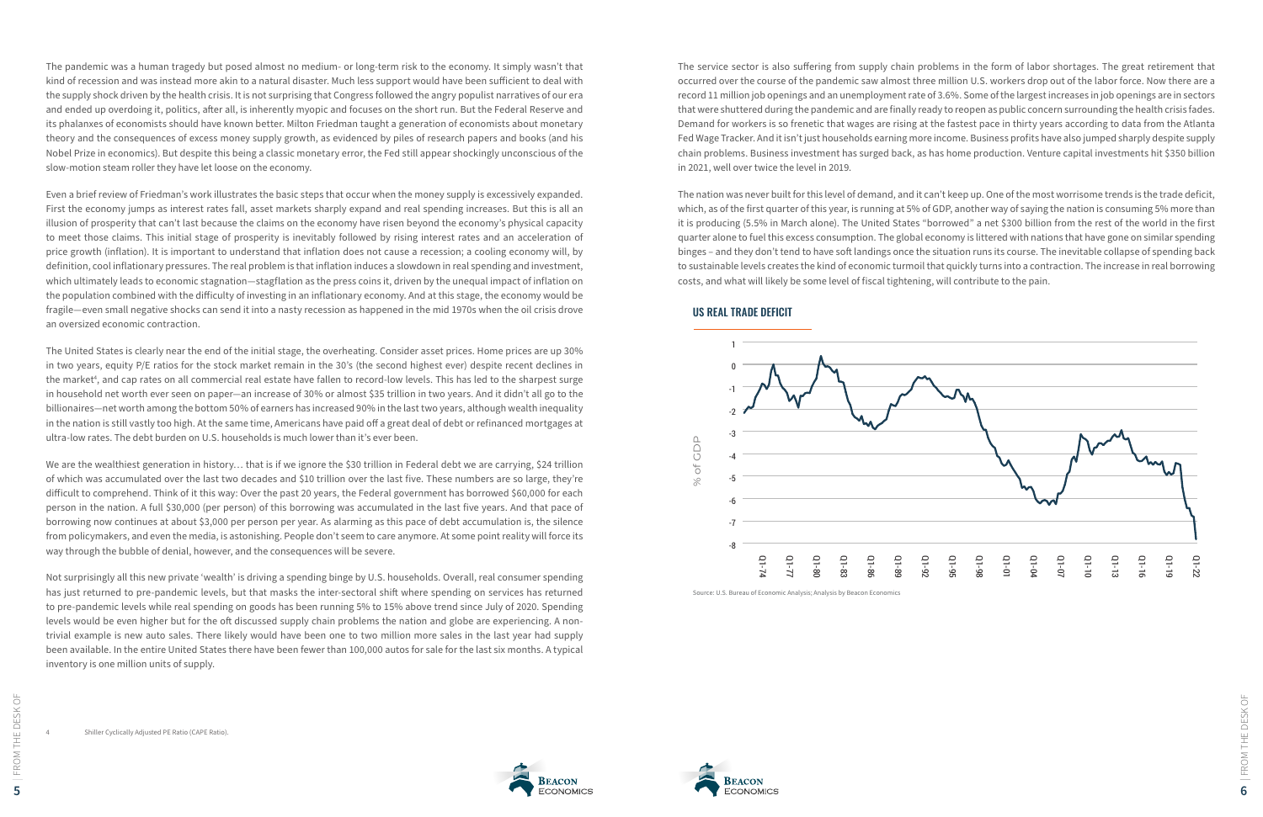

The pandemic was a human tragedy but posed almost no medium- or long-term risk to the economy. It simply wasn't that kind of recession and was instead more akin to a natural disaster. Much less support would have been sufficient to deal with the supply shock driven by the health crisis. It is not surprising that Congress followed the angry populist narratives of our era and ended up overdoing it, politics, after all, is inherently myopic and focuses on the short run. But the Federal Reserve and its phalanxes of economists should have known better. Milton Friedman taught a generation of economists about monetary theory and the consequences of excess money supply growth, as evidenced by piles of research papers and books (and his Nobel Prize in economics). But despite this being a classic monetary error, the Fed still appear shockingly unconscious of the slow-motion steam roller they have let loose on the economy.

Even a brief review of Friedman's work illustrates the basic steps that occur when the money supply is excessively expanded. First the economy jumps as interest rates fall, asset markets sharply expand and real spending increases. But this is all an illusion of prosperity that can't last because the claims on the economy have risen beyond the economy's physical capacity to meet those claims. This initial stage of prosperity is inevitably followed by rising interest rates and an acceleration of price growth (inflation). It is important to understand that inflation does not cause a recession; a cooling economy will, by definition, cool inflationary pressures. The real problem is that inflation induces a slowdown in real spending and investment, which ultimately leads to economic stagnation—stagflation as the press coins it, driven by the unequal impact of inflation on the population combined with the difficulty of investing in an inflationary economy. And at this stage, the economy would be fragile—even small negative shocks can send it into a nasty recession as happened in the mid 1970s when the oil crisis drove an oversized economic contraction.

We are the wealthiest generation in history... that is if we ignore the \$30 trillion in Federal debt we are carrying, \$24 trillion of which was accumulated over the last two decades and \$10 trillion over the last five. These numbers are so large, they're difficult to comprehend. Think of it this way: Over the past 20 years, the Federal government has borrowed \$60,000 for each person in the nation. A full \$30,000 (per person) of this borrowing was accumulated in the last five years. And that pace of borrowing now continues at about \$3,000 per person per year. As alarming as this pace of debt accumulation is, the silence from policymakers, and even the media, is astonishing. People don't seem to care anymore. At some point reality will force its way through the bubble of denial, however, and the consequences will be severe.

The United States is clearly near the end of the initial stage, the overheating. Consider asset prices. Home prices are up 30% in two years, equity P/E ratios for the stock market remain in the 30's (the second highest ever) despite recent declines in the market<sup>4</sup>, and cap rates on all commercial real estate have fallen to record-low levels. This has led to the sharpest surge in household net worth ever seen on paper—an increase of 30% or almost \$35 trillion in two years. And it didn't all go to the billionaires—net worth among the bottom 50% of earners has increased 90% in the last two years, although wealth inequality in the nation is still vastly too high. At the same time, Americans have paid off a great deal of debt or refinanced mortgages at ultra-low rates. The debt burden on U.S. households is much lower than it's ever been.

Not surprisingly all this new private 'wealth' is driving a spending binge by U.S. households. Overall, real consumer spending has just returned to pre-pandemic levels, but that masks the inter-sectoral shift where spending on services has returned to pre-pandemic levels while real spending on goods has been running 5% to 15% above trend since July of 2020. Spending levels would be even higher but for the oft discussed supply chain problems the nation and globe are experiencing. A nontrivial example is new auto sales. There likely would have been one to two million more sales in the last year had supply been available. In the entire United States there have been fewer than 100,000 autos for sale for the last six months. A typical inventory is one million units of supply.

The service sector is also suffering from supply chain problems in the form of labor shortages. The great retirement that occurred over the course of the pandemic saw almost three million U.S. workers drop out of the labor force. Now there are a record 11 million job openings and an unemployment rate of 3.6%. Some of the largest increases in job openings are in sectors that were shuttered during the pandemic and are finally ready to reopen as public concern surrounding the health crisis fades. Demand for workers is so frenetic that wages are rising at the fastest pace in thirty years according to data from the Atlanta Fed Wage Tracker. And it isn't just households earning more income. Business profits have also jumped sharply despite supply chain problems. Business investment has surged back, as has home production. Venture capital investments hit \$350 billion in 2021, well over twice the level in 2019.

The nation was never built for this level of demand, and it can't keep up. One of the most worrisome trends is the trade deficit, which, as of the first quarter of this year, is running at 5% of GDP, another way of saying the nation is consuming 5% more than it is producing (5.5% in March alone). The United States "borrowed" a net \$300 billion from the rest of the world in the first quarter alone to fuel this excess consumption. The global economy is littered with nations that have gone on similar spending binges – and they don't tend to have soft landings once the situation runs its course. The inevitable collapse of spending back to sustainable levels creates the kind of economic turmoil that quickly turns into a contraction. The increase in real borrowing costs, and what will likely be some level of fiscal tightening, will contribute to the pain.



#### US REAL TRADE DEFICIT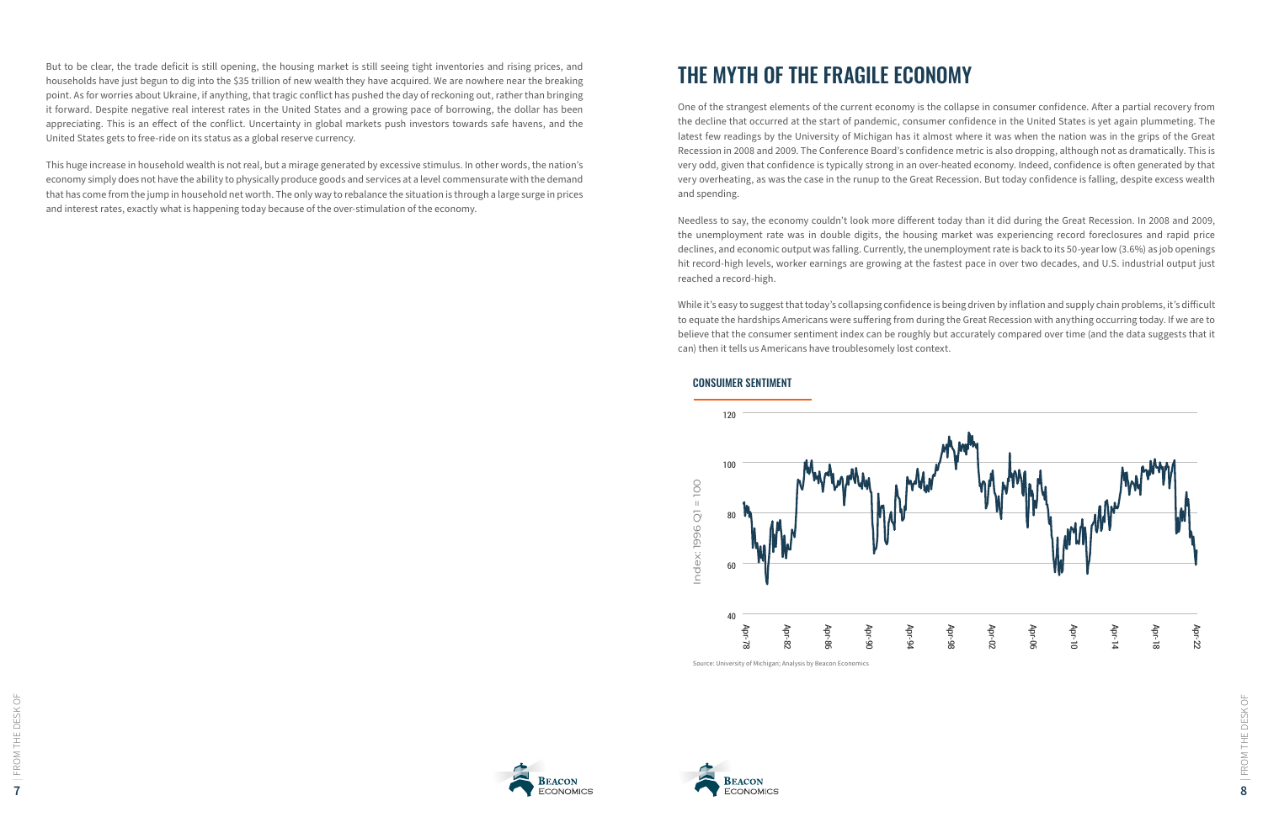



| FROM THE DESK OF

But to be clear, the trade deficit is still opening, the housing market is still seeing tight inventories and rising prices, and households have just begun to dig into the \$35 trillion of new wealth they have acquired. We are nowhere near the breaking point. As for worries about Ukraine, if anything, that tragic conflict has pushed the day of reckoning out, rather than bringing it forward. Despite negative real interest rates in the United States and a growing pace of borrowing, the dollar has been appreciating. This is an effect of the conflict. Uncertainty in global markets push investors towards safe havens, and the United States gets to free-ride on its status as a global reserve currency.

This huge increase in household wealth is not real, but a mirage generated by excessive stimulus. In other words, the nation's economy simply does not have the ability to physically produce goods and services at a level commensurate with the demand that has come from the jump in household net worth. The only way to rebalance the situation is through a large surge in prices and interest rates, exactly what is happening today because of the over-stimulation of the economy.

### THE MYTH OF THE FRAGILE ECONOMY

One of the strangest elements of the current economy is the collapse in consumer confidence. After a partial recovery from the decline that occurred at the start of pandemic, consumer confidence in the United States is yet again plummeting. The latest few readings by the University of Michigan has it almost where it was when the nation was in the grips of the Great Recession in 2008 and 2009. The Conference Board's confidence metric is also dropping, although not as dramatically. This is very odd, given that confidence is typically strong in an over-heated economy. Indeed, confidence is often generated by that very overheating, as was the case in the runup to the Great Recession. But today confidence is falling, despite excess wealth and spending.

Needless to say, the economy couldn't look more different today than it did during the Great Recession. In 2008 and 2009, the unemployment rate was in double digits, the housing market was experiencing record foreclosures and rapid price declines, and economic output was falling. Currently, the unemployment rate is back to its 50-year low (3.6%) as job openings hit record-high levels, worker earnings are growing at the fastest pace in over two decades, and U.S. industrial output just reached a record-high.

While it's easy to suggest that today's collapsing confidence is being driven by inflation and supply chain problems, it's difficult to equate the hardships Americans were suffering from during the Great Recession with anything occurring today. If we are to believe that the consumer sentiment index can be roughly but accurately compared over time (and the data suggests that it can) then it tells us Americans have troublesomely lost context.



#### CONSUIMER SENTIMENT